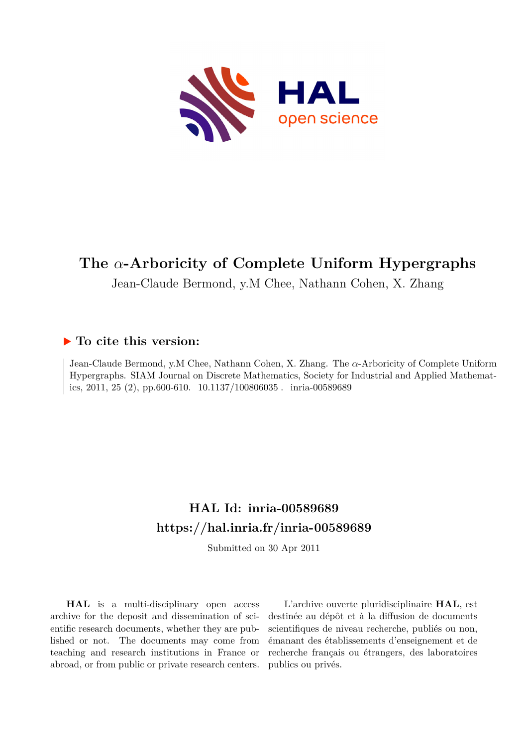

# **The** *α***-Arboricity of Complete Uniform Hypergraphs**

Jean-Claude Bermond, y.M Chee, Nathann Cohen, X. Zhang

### **To cite this version:**

Jean-Claude Bermond, y.M Chee, Nathann Cohen, X. Zhang. The *α*-Arboricity of Complete Uniform Hypergraphs. SIAM Journal on Discrete Mathematics, Society for Industrial and Applied Mathematics, 2011, 25 (2), pp.600-610.  $10.1137/100806035$ . inria-00589689

## **HAL Id: inria-00589689 <https://hal.inria.fr/inria-00589689>**

Submitted on 30 Apr 2011

**HAL** is a multi-disciplinary open access archive for the deposit and dissemination of scientific research documents, whether they are published or not. The documents may come from teaching and research institutions in France or abroad, or from public or private research centers.

L'archive ouverte pluridisciplinaire **HAL**, est destinée au dépôt et à la diffusion de documents scientifiques de niveau recherche, publiés ou non, émanant des établissements d'enseignement et de recherche français ou étrangers, des laboratoires publics ou privés.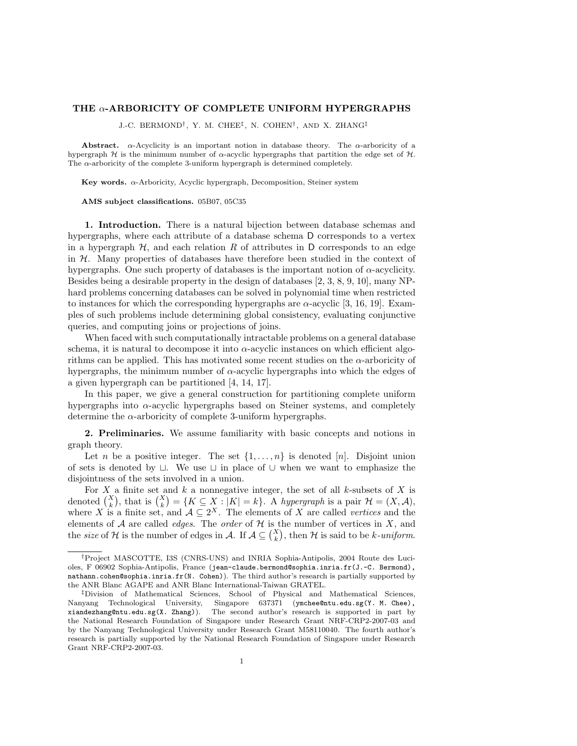#### THE  $\alpha$ -ARBORICITY OF COMPLETE UNIFORM HYPERGRAPHS

J.-C. BERMOND† , Y. M. CHEE‡ , N. COHEN† , AND X. ZHANG‡

Abstract.  $\alpha$ -Acyclicity is an important notion in database theory. The  $\alpha$ -arboricity of a hypergraph H is the minimum number of  $\alpha$ -acyclic hypergraphs that partition the edge set of H. The  $\alpha$ -arboricity of the complete 3-uniform hypergraph is determined completely.

Key words.  $\alpha$ -Arboricity, Acyclic hypergraph, Decomposition, Steiner system

AMS subject classifications. 05B07, 05C35

1. Introduction. There is a natural bijection between database schemas and hypergraphs, where each attribute of a database schema D corresponds to a vertex in a hypergraph  $H$ , and each relation R of attributes in D corresponds to an edge in  $H$ . Many properties of databases have therefore been studied in the context of hypergraphs. One such property of databases is the important notion of  $\alpha$ -acyclicity. Besides being a desirable property in the design of databases [2, 3, 8, 9, 10], many NPhard problems concerning databases can be solved in polynomial time when restricted to instances for which the corresponding hypergraphs are  $\alpha$ -acyclic [3, 16, 19]. Examples of such problems include determining global consistency, evaluating conjunctive queries, and computing joins or projections of joins.

When faced with such computationally intractable problems on a general database schema, it is natural to decompose it into α-acyclic instances on which efficient algorithms can be applied. This has motivated some recent studies on the  $\alpha$ -arboricity of hypergraphs, the minimum number of  $\alpha$ -acyclic hypergraphs into which the edges of a given hypergraph can be partitioned [4, 14, 17].

In this paper, we give a general construction for partitioning complete uniform hypergraphs into  $\alpha$ -acyclic hypergraphs based on Steiner systems, and completely determine the  $\alpha$ -arboricity of complete 3-uniform hypergraphs.

2. Preliminaries. We assume familiarity with basic concepts and notions in graph theory.

Let n be a positive integer. The set  $\{1, \ldots, n\}$  is denoted [n]. Disjoint union of sets is denoted by  $\sqcup$ . We use  $\sqcup$  in place of  $\cup$  when we want to emphasize the disjointness of the sets involved in a union.

For  $X$  a finite set and  $k$  a nonnegative integer, the set of all  $k$ -subsets of  $X$  is denoted  $\binom{X}{k}$ , that is  $\binom{X}{k} = \{K \subseteq X : |K| = k\}$ . A hypergraph is a pair  $\mathcal{H} = (X, \mathcal{A})$ , where X is a finite set, and  $A \subseteq 2^X$ . The elements of X are called vertices and the elements of  $A$  are called *edges*. The *order* of  $H$  is the number of vertices in  $X$ , and the size of H is the number of edges in A. If  $A \subseteq {X \choose k}$ , then H is said to be k-uniform.

<sup>†</sup>Project MASCOTTE, I3S (CNRS-UNS) and INRIA Sophia-Antipolis, 2004 Route des Lucioles, F 06902 Sophia-Antipolis, France (jean-claude.bermond@sophia.inria.fr(J.-C. Bermond), nathann.cohen@sophia.inria.fr(N. Cohen)). The third author's research is partially supported by the ANR Blanc AGAPE and ANR Blanc International-Taiwan GRATEL.

<sup>‡</sup>Division of Mathematical Sciences, School of Physical and Mathematical Sciences, Nanyang Technological University, Singapore 637371 (ymchee@ntu.edu.sg(Y. M. Chee), xiandezhang@ntu.edu.sg(X. Zhang)). The second author's research is supported in part by the National Research Foundation of Singapore under Research Grant NRF-CRP2-2007-03 and by the Nanyang Technological University under Research Grant M58110040. The fourth author's research is partially supported by the National Research Foundation of Singapore under Research Grant NRF-CRP2-2007-03.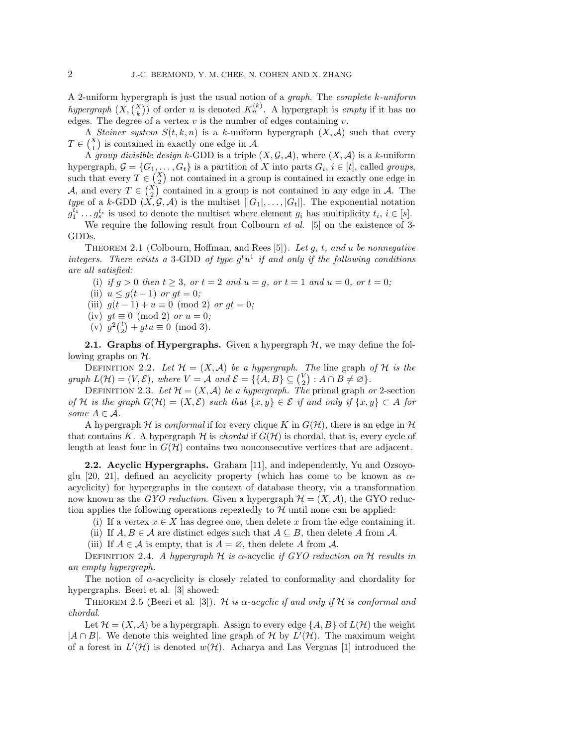A 2-uniform hypergraph is just the usual notion of a graph. The complete k-uniform hypergraph  $(X, \binom{X}{k})$  of order n is denoted  $K_n^{(k)}$ . A hypergraph is empty if it has no edges. The degree of a vertex  $v$  is the number of edges containing  $v$ .

A Steiner system  $S(t, k, n)$  is a k-uniform hypergraph  $(X, \mathcal{A})$  such that every  $T \in \binom{X}{t}$  is contained in exactly one edge in A.

A group divisible design k-GDD is a triple  $(X, \mathcal{G}, \mathcal{A})$ , where  $(X, \mathcal{A})$  is a k-uniform hypergraph,  $G = \{G_1, \ldots, G_t\}$  is a partition of X into parts  $G_i$ ,  $i \in [t]$ , called groups, such that every  $T \in \binom{X}{2}$  not contained in a group is contained in exactly one edge in A, and every  $T \in \binom{X}{2}$  contained in a group is not contained in any edge in A. The type of a k-GDD  $(X, \mathcal{G}, \mathcal{A})$  is the multiset  $[|G_1|, \ldots, |G_t|]$ . The exponential notation  $g_1^{\overline{t}_1} \ldots g_s^{t_s}$  is used to denote the multiset where element  $g_i$  has multiplicity  $t_i, i \in [s]$ .

We require the following result from Colbourn *et al.* [5] on the existence of 3-GDDs.

THEOREM 2.1 (Colbourn, Hoffman, and Rees [5]). Let g, t, and u be nonnegative integers. There exists a 3-GDD of type  $g^t u^1$  if and only if the following conditions are all satisfied:

- (i) if  $g > 0$  then  $t \ge 3$ , or  $t = 2$  and  $u = g$ , or  $t = 1$  and  $u = 0$ , or  $t = 0$ ;
- (ii)  $u \leq g(t-1)$  or  $gt = 0$ ;
- (iii)  $g(t-1) + u \equiv 0 \pmod{2}$  or  $gt = 0$ ;
- (iv)  $gt \equiv 0 \pmod{2}$  or  $u = 0$ ;
- (v)  $g^2\binom{t}{2} + gtu \equiv 0 \pmod{3}$ .

**2.1. Graphs of Hypergraphs.** Given a hypergraph  $H$ , we may define the following graphs on  $H$ .

DEFINITION 2.2. Let  $\mathcal{H} = (X, \mathcal{A})$  be a hypergraph. The line graph of  $\mathcal{H}$  is the graph  $L(\mathcal{H}) = (V, \mathcal{E})$ , where  $V = \mathcal{A}$  and  $\mathcal{E} = \{\{A, B\} \subseteq {V \choose 2} : A \cap B \neq \emptyset\}.$ 

DEFINITION 2.3. Let  $\mathcal{H} = (X, \mathcal{A})$  be a hypergraph. The primal graph or 2-section of H is the graph  $G(\mathcal{H}) = (X, \mathcal{E})$  such that  $\{x, y\} \in \mathcal{E}$  if and only if  $\{x, y\} \subset A$  for some  $A \in \mathcal{A}$ .

A hypergraph H is conformal if for every clique K in  $G(\mathcal{H})$ , there is an edge in H that contains K. A hypergraph  $H$  is *chordal* if  $G(H)$  is chordal, that is, every cycle of length at least four in  $G(\mathcal{H})$  contains two nonconsecutive vertices that are adjacent.

2.2. Acyclic Hypergraphs. Graham [11], and independently, Yu and Ozsoyoglu [20, 21], defined an acyclicity property (which has come to be known as  $\alpha$ acyclicity) for hypergraphs in the context of database theory, via a transformation now known as the GYO reduction. Given a hypergraph  $\mathcal{H} = (X, \mathcal{A})$ , the GYO reduction applies the following operations repeatedly to  $H$  until none can be applied:

- (i) If a vertex  $x \in X$  has degree one, then delete x from the edge containing it.
- (ii) If  $A, B \in \mathcal{A}$  are distinct edges such that  $A \subseteq B$ , then delete A from  $\mathcal{A}$ .
- (iii) If  $A \in \mathcal{A}$  is empty, that is  $A = \emptyset$ , then delete A from  $\mathcal{A}$ .

DEFINITION 2.4. A hypergraph H is  $\alpha$ -acyclic if GYO reduction on H results in an empty hypergraph.

The notion of  $\alpha$ -acyclicity is closely related to conformality and chordality for hypergraphs. Beeri et al. [3] showed:

THEOREM 2.5 (Beeri et al. [3]). H is  $\alpha$ -acyclic if and only if H is conformal and chordal.

Let  $\mathcal{H} = (X, \mathcal{A})$  be a hypergraph. Assign to every edge  $\{A, B\}$  of  $L(\mathcal{H})$  the weight  $|A \cap B|$ . We denote this weighted line graph of H by  $L'(\mathcal{H})$ . The maximum weight of a forest in  $L'(\mathcal{H})$  is denoted  $w(\mathcal{H})$ . Acharya and Las Vergnas [1] introduced the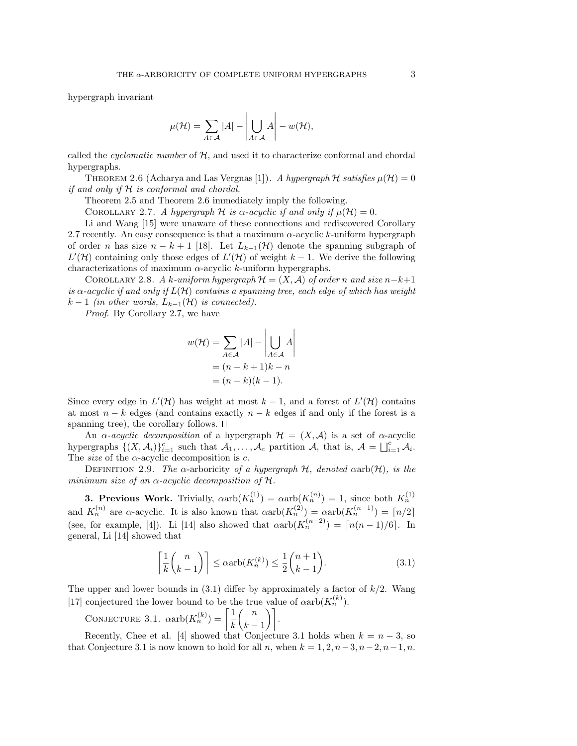hypergraph invariant

$$
\mu(\mathcal{H}) = \sum_{A \in \mathcal{A}} |A| - \left| \bigcup_{A \in \mathcal{A}} A \right| - w(\mathcal{H}),
$$

called the *cyclomatic number* of  $H$ , and used it to characterize conformal and chordal hypergraphs.

THEOREM 2.6 (Acharya and Las Vergnas [1]). A hypergraph H satisfies  $\mu(\mathcal{H}) = 0$ if and only if H is conformal and chordal.

Theorem 2.5 and Theorem 2.6 immediately imply the following.

COROLLARY 2.7. A hypergraph H is  $\alpha$ -acyclic if and only if  $\mu(\mathcal{H}) = 0$ .

Li and Wang [15] were unaware of these connections and rediscovered Corollary 2.7 recently. An easy consequence is that a maximum  $\alpha$ -acyclic k-uniform hypergraph of order n has size  $n - k + 1$  [18]. Let  $L_{k-1}(\mathcal{H})$  denote the spanning subgraph of  $L'(\mathcal{H})$  containing only those edges of  $L'(\mathcal{H})$  of weight  $k-1$ . We derive the following characterizations of maximum  $\alpha$ -acyclic k-uniform hypergraphs.

COROLLARY 2.8. A k-uniform hypergraph  $\mathcal{H} = (X, \mathcal{A})$  of order n and size  $n-k+1$ is  $\alpha$ -acyclic if and only if  $L(\mathcal{H})$  contains a spanning tree, each edge of which has weight  $k-1$  (in other words,  $L_{k-1}(\mathcal{H})$  is connected).

Proof. By Corollary 2.7, we have

$$
w(\mathcal{H}) = \sum_{A \in \mathcal{A}} |A| - \left| \bigcup_{A \in \mathcal{A}} A \right|
$$
  
=  $(n - k + 1)k - n$   
=  $(n - k)(k - 1)$ .

Since every edge in  $L'(\mathcal{H})$  has weight at most  $k-1$ , and a forest of  $L'(\mathcal{H})$  contains at most  $n - k$  edges (and contains exactly  $n - k$  edges if and only if the forest is a spanning tree), the corollary follows.  $\square$ 

An  $\alpha$ -acyclic decomposition of a hypergraph  $\mathcal{H} = (X, \mathcal{A})$  is a set of  $\alpha$ -acyclic hypergraphs  $\{(X, \mathcal{A}_i)\}_{i=1}^c$  such that  $\mathcal{A}_1, \ldots, \mathcal{A}_c$  partition  $\mathcal{A}$ , that is,  $\mathcal{A} = \bigsqcup_{i=1}^c \mathcal{A}_i$ . The *size* of the  $\alpha$ -acyclic decomposition is  $c$ .

DEFINITION 2.9. The  $\alpha$ -arboricity of a hypergraph  $H$ , denoted  $\alpha$ arb $(H)$ , is the minimum size of an  $\alpha$ -acyclic decomposition of  $\mathcal{H}$ .

**3. Previous Work.** Trivially,  $\alpha$ arb $(K_n^{(1)}) = \alpha$ arb $(K_n^{(n)}) = 1$ , since both  $K_n^{(1)}$ and  $K_n^{(n)}$  are  $\alpha$ -acyclic. It is also known that  $\alpha$ arb $(K_n^{(2)}) = \alpha$ arb $(K_n^{(n-1)}) = \lceil n/2 \rceil$ (see, for example, [4]). Li [14] also showed that  $\alpha$ arb $(K_n^{(n-2)}) = \lceil n(n-1)/6 \rceil$ . In general, Li [14] showed that

$$
\left\lceil \frac{1}{k} \binom{n}{k-1} \right\rceil \le \alpha \operatorname{arb}(K_n^{(k)}) \le \frac{1}{2} \binom{n+1}{k-1}.
$$
\n(3.1)

The upper and lower bounds in  $(3.1)$  differ by approximately a factor of  $k/2$ . Wang [17] conjectured the lower bound to be the true value of  $\alpha \text{arb}(K_n^{(k)})$ .

CONJECTURE 3.1.  $\alpha$ arb $(K_n^{(k)}) = \left[\frac{1}{L}\right]$ k  $\binom{n}{n}$  $\binom{n}{k-1}$ .

Recently, Chee et al. [4] showed that Conjecture 3.1 holds when  $k = n - 3$ , so that Conjecture 3.1 is now known to hold for all n, when  $k = 1, 2, n-3, n-2, n-1, n$ .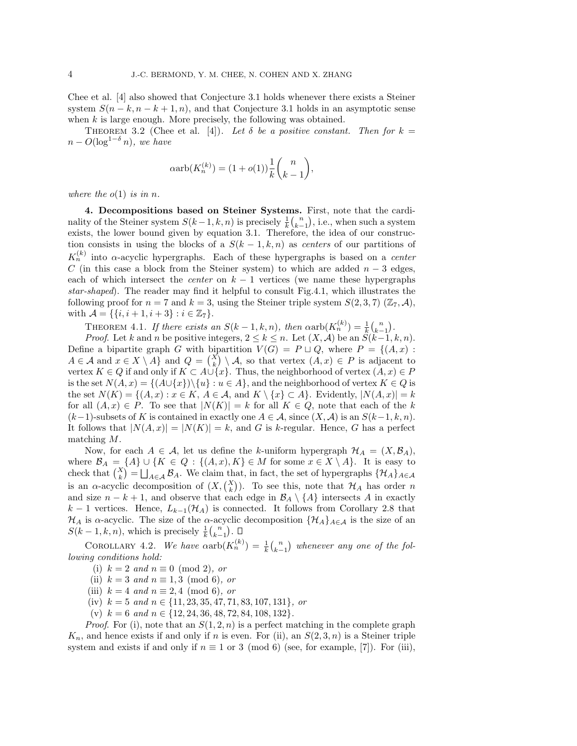Chee et al. [4] also showed that Conjecture 3.1 holds whenever there exists a Steiner system  $S(n-k, n-k+1, n)$ , and that Conjecture 3.1 holds in an asymptotic sense when  $k$  is large enough. More precisely, the following was obtained.

THEOREM 3.2 (Chee et al. [4]). Let  $\delta$  be a positive constant. Then for  $k =$  $n - O(\log^{1-\delta} n)$ , we have

$$
\alpha \text{arb}(K_n^{(k)}) = (1 + o(1)) \frac{1}{k} {n \choose k-1},
$$

where the  $o(1)$  is in n.

4. Decompositions based on Steiner Systems. First, note that the cardinality of the Steiner system  $S(k-1, k, n)$  is precisely  $\frac{1}{k} {n \choose k-1}$ , i.e., when such a system exists, the lower bound given by equation 3.1. Therefore, the idea of our construction consists in using the blocks of a  $S(k-1, k, n)$  as centers of our partitions of  $K_n^{(k)}$  into  $\alpha$ -acyclic hypergraphs. Each of these hypergraphs is based on a *center* C (in this case a block from the Steiner system) to which are added  $n-3$  edges, each of which intersect the *center* on  $k - 1$  vertices (we name these hypergraphs star-shaped). The reader may find it helpful to consult Fig.4.1, which illustrates the following proof for  $n = 7$  and  $k = 3$ , using the Steiner triple system  $S(2,3,7)$  ( $\mathbb{Z}_7$ , A), with  $\mathcal{A} = \{\{i, i+1, i+3\} : i \in \mathbb{Z}_7\}.$ 

THEOREM 4.1. If there exists an  $S(k-1, k, n)$ , then  $\alpha \text{arb}(K_n^{(k)}) = \frac{1}{k} {n \choose k-1}$ .

*Proof.* Let k and n be positive integers,  $2 \le k \le n$ . Let  $(X, \mathcal{A})$  be an  $S(k-1, k, n)$ . Define a bipartite graph G with bipartition  $V(G) = P \sqcup Q$ , where  $P = \{(A, x) :$  $A \in \mathcal{A}$  and  $x \in X \setminus A$  and  $Q = {X \choose k} \setminus \mathcal{A}$ , so that vertex  $(A, x) \in P$  is adjacent to vertex  $K \in Q$  if and only if  $K \subset A \cup \{x\}$ . Thus, the neighborhood of vertex  $(A, x) \in P$ is the set  $N(A, x) = \{ (A \cup \{x\}) \setminus \{u\} : u \in A \}$ , and the neighborhood of vertex  $K \in Q$  is the set  $N(K) = \{(A, x) : x \in K, A \in \mathcal{A}, \text{ and } K \setminus \{x\} \subset A\}.$  Evidently,  $|N(A, x)| = k$ for all  $(A, x) \in P$ . To see that  $|N(K)| = k$  for all  $K \in Q$ , note that each of the k  $(k-1)$ -subsets of K is contained in exactly one  $A \in \mathcal{A}$ , since  $(X, \mathcal{A})$  is an  $S(k-1, k, n)$ . It follows that  $|N(A, x)| = |N(K)| = k$ , and G is k-regular. Hence, G has a perfect matching M.

Now, for each  $A \in \mathcal{A}$ , let us define the k-uniform hypergraph  $\mathcal{H}_A = (X, \mathcal{B}_A)$ , where  $\mathcal{B}_A = \{A\} \cup \{K \in Q : \{(A, x), K\} \in M \text{ for some } x \in X \setminus A\}.$  It is easy to check that  $\binom{X}{k} = \bigsqcup_{A \in \mathcal{A}} \mathcal{B}_A$ . We claim that, in fact, the set of hypergraphs  $\{\mathcal{H}_A\}_{A \in \mathcal{A}}$ is an  $\alpha$ -acyclic decomposition of  $(X, \binom{X}{k})$ . To see this, note that  $\mathcal{H}_A$  has order n and size  $n - k + 1$ , and observe that each edge in  $\mathcal{B}_A \setminus \{A\}$  intersects A in exactly k − 1 vertices. Hence,  $L_{k-1}(\mathcal{H}_A)$  is connected. It follows from Corollary 2.8 that  $\mathcal{H}_A$  is  $\alpha$ -acyclic. The size of the  $\alpha$ -acyclic decomposition  $\{\mathcal{H}_A\}_{A\in\mathcal{A}}$  is the size of an  $S(k-1, k, n)$ , which is precisely  $\frac{1}{k} {n \choose k-1}$ .

COROLLARY 4.2. We have  $\alpha \text{arb}(K_n^{(k)}) = \frac{1}{k} {n \choose k-1}$  whenever any one of the following conditions hold:

- (i)  $k = 2$  and  $n \equiv 0 \pmod{2}$ , or
- (ii)  $k = 3$  and  $n \equiv 1, 3 \pmod{6}$ , or
- (iii)  $k = 4$  and  $n \equiv 2, 4 \pmod{6}$ , or
- (iv)  $k = 5$  and  $n \in \{11, 23, 35, 47, 71, 83, 107, 131\}$ , or
- (v)  $k = 6$  and  $n \in \{12, 24, 36, 48, 72, 84, 108, 132\}.$

*Proof.* For (i), note that an  $S(1, 2, n)$  is a perfect matching in the complete graph  $K_n$ , and hence exists if and only if n is even. For (ii), an  $S(2,3,n)$  is a Steiner triple system and exists if and only if  $n \equiv 1$  or 3 (mod 6) (see, for example, [7]). For (iii),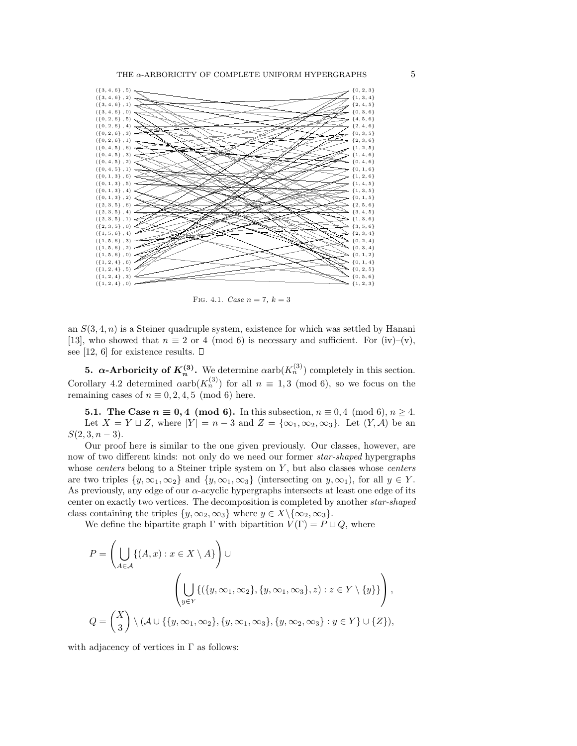

FIG. 4.1. Case  $n = 7, k = 3$ 

an  $S(3, 4, n)$  is a Steiner quadruple system, existence for which was settled by Hanani [13], who showed that  $n \equiv 2$  or 4 (mod 6) is necessary and sufficient. For (iv)–(v), see [12, 6] for existence results.  $\square$ 

**5.**  $\alpha$ -Arboricity of  $K_n^{(3)}$ . We determine  $\alpha$ arb $(K_n^{(3)})$  completely in this section. Corollary 4.2 determined  $\alpha$ arb $(K_n^{(3)})$  for all  $n \equiv 1,3 \pmod{6}$ , so we focus on the remaining cases of  $n \equiv 0, 2, 4, 5 \pmod{6}$  here.

**5.1.** The Case  $n \equiv 0, 4 \pmod{6}$ . In this subsection,  $n \equiv 0, 4 \pmod{6}$ ,  $n \ge 4$ . Let  $X = Y \sqcup Z$ , where  $|Y| = n - 3$  and  $Z = {\infty_1, \infty_2, \infty_3}$ . Let  $(Y, \mathcal{A})$  be an  $S(2,3,n-3)$ .

Our proof here is similar to the one given previously. Our classes, however, are now of two different kinds: not only do we need our former star-shaped hypergraphs whose *centers* belong to a Steiner triple system on  $Y$ , but also classes whose *centers* are two triples  $\{y, \infty_1, \infty_2\}$  and  $\{y, \infty_1, \infty_3\}$  (intersecting on  $y, \infty_1$ ), for all  $y \in Y$ . As previously, any edge of our  $\alpha$ -acyclic hypergraphs intersects at least one edge of its center on exactly two vertices. The decomposition is completed by another star-shaped class containing the triples  $\{y, \infty_2, \infty_3\}$  where  $y \in X \setminus {\infty_2, \infty_3}$ .

We define the bipartite graph  $\Gamma$  with bipartition  $V(\Gamma) = P \sqcup Q$ , where

$$
P = \left(\bigcup_{A \in \mathcal{A}} \{(A, x) : x \in X \setminus A\}\right) \cup
$$

$$
\left(\bigcup_{y \in Y} \{(\{y, \infty_1, \infty_2\}, \{y, \infty_1, \infty_3\}, z) : z \in Y \setminus \{y\}\}\right),
$$

$$
Q = \left(\frac{X}{3}\right) \setminus (\mathcal{A} \cup \{\{y, \infty_1, \infty_2\}, \{y, \infty_1, \infty_3\}, \{y, \infty_2, \infty_3\} : y \in Y\} \cup \{Z\}),
$$

with adjacency of vertices in  $\Gamma$  as follows: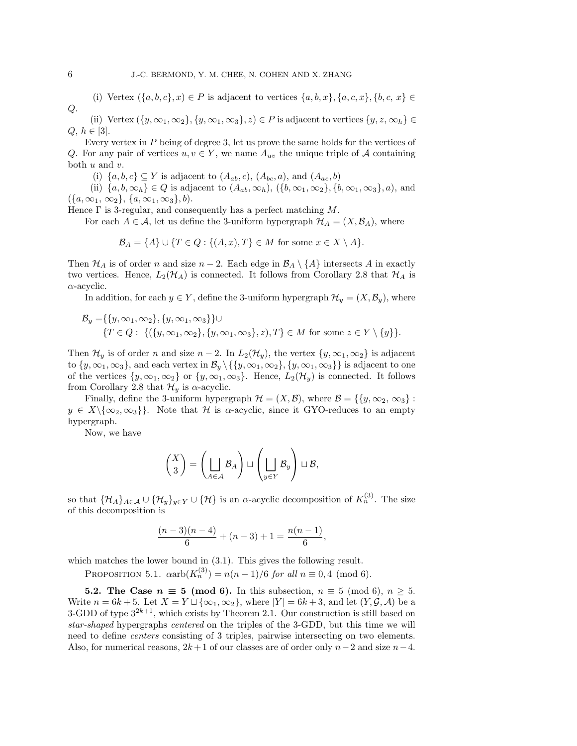(i) Vertex  $(\{a, b, c\}, x) \in P$  is adjacent to vertices  $\{a, b, x\}, \{a, c, x\}, \{b, c, x\} \in$ Q.

(ii) Vertex  $({y, \infty_1, \infty_2}, {y, \infty_1, \infty_3}, z) \in P$  is adjacent to vertices  ${y, z, \infty_h} \in$  $Q, h \in [3]$ .

Every vertex in P being of degree 3, let us prove the same holds for the vertices of Q. For any pair of vertices  $u, v \in Y$ , we name  $A_{uv}$  the unique triple of A containing both  $u$  and  $v$ .

(i)  $\{a, b, c\} \subseteq Y$  is adjacent to  $(A_{ab}, c)$ ,  $(A_{bc}, a)$ , and  $(A_{ac}, b)$ 

(ii)  $\{a, b, \infty_h\} \in Q$  is adjacent to  $(A_{ab}, \infty_h)$ ,  $(\{b, \infty_1, \infty_2\}, \{b, \infty_1, \infty_3\}, a)$ , and  $({a, \infty_1, \infty_2}, {a, \infty_1, \infty_3}, b).$ 

Hence  $\Gamma$  is 3-regular, and consequently has a perfect matching M.

For each  $A \in \mathcal{A}$ , let us define the 3-uniform hypergraph  $\mathcal{H}_A = (X, \mathcal{B}_A)$ , where

 $\mathcal{B}_A = \{A\} \cup \{T \in Q : \{(A, x), T\} \in M \text{ for some } x \in X \setminus A\}.$ 

Then  $\mathcal{H}_A$  is of order n and size  $n-2$ . Each edge in  $\mathcal{B}_A \setminus \{A\}$  intersects A in exactly two vertices. Hence,  $L_2(\mathcal{H}_A)$  is connected. It follows from Corollary 2.8 that  $\mathcal{H}_A$  is  $\alpha$ -acyclic.

In addition, for each  $y \in Y$ , define the 3-uniform hypergraph  $\mathcal{H}_y = (X, \mathcal{B}_y)$ , where

$$
\mathcal{B}_y = \{ \{y, \infty_1, \infty_2\}, \{y, \infty_1, \infty_3\} \} \cup \{ T \in Q : \{ (\{y, \infty_1, \infty_2\}, \{y, \infty_1, \infty_3\}, z), T \} \in M \text{ for some } z \in Y \setminus \{y\} \}.
$$

Then  $\mathcal{H}_y$  is of order n and size  $n-2$ . In  $L_2(\mathcal{H}_y)$ , the vertex  $\{y, \infty_1, \infty_2\}$  is adjacent to  $\{y, \infty_1, \infty_3\}$ , and each vertex in  $\mathcal{B}_y \setminus \{\{y, \infty_1, \infty_2\}, \{y, \infty_1, \infty_3\}\}\$ is adjacent to one of the vertices  $\{y, \infty_1, \infty_2\}$  or  $\{y, \infty_1, \infty_3\}$ . Hence,  $L_2(\mathcal{H}_y)$  is connected. It follows from Corollary 2.8 that  $\mathcal{H}_y$  is  $\alpha$ -acyclic.

Finally, define the 3-uniform hypergraph  $\mathcal{H} = (X, \mathcal{B})$ , where  $\mathcal{B} = \{\{y, \infty_2, \infty_3\}$ :  $y \in X \setminus {\infty_2, \infty_3}$ . Note that H is  $\alpha$ -acyclic, since it GYO-reduces to an empty hypergraph.

Now, we have

$$
\binom{X}{3} = \left(\bigsqcup_{A \in \mathcal{A}} \mathcal{B}_A\right) \sqcup \left(\bigsqcup_{y \in Y} \mathcal{B}_y\right) \sqcup \mathcal{B},
$$

so that  $\{\mathcal{H}_A\}_{A\in\mathcal{A}}\cup\{\mathcal{H}_y\}_{y\in Y}\cup\{\mathcal{H}\}\$ is an  $\alpha$ -acyclic decomposition of  $K_n^{(3)}$ . The size of this decomposition is

$$
\frac{(n-3)(n-4)}{6} + (n-3) + 1 = \frac{n(n-1)}{6},
$$

which matches the lower bound in  $(3.1)$ . This gives the following result.

PROPOSITION 5.1.  $\alpha \text{arb}(K_n^{(3)}) = n(n-1)/6$  for all  $n \equiv 0, 4 \pmod{6}$ .

5.2. The Case  $n \equiv 5 \pmod{6}$ . In this subsection,  $n \equiv 5 \pmod{6}$ ,  $n \ge 5$ . Write  $n = 6k + 5$ . Let  $X = Y \sqcup {\infty_1, \infty_2}$ , where  $|Y| = 6k + 3$ , and let  $(Y, \mathcal{G}, \mathcal{A})$  be a 3-GDD of type  $3^{2k+1}$ , which exists by Theorem 2.1. Our construction is still based on star-shaped hypergraphs centered on the triples of the 3-GDD, but this time we will need to define centers consisting of 3 triples, pairwise intersecting on two elements. Also, for numerical reasons,  $2k+1$  of our classes are of order only  $n-2$  and size  $n-4$ .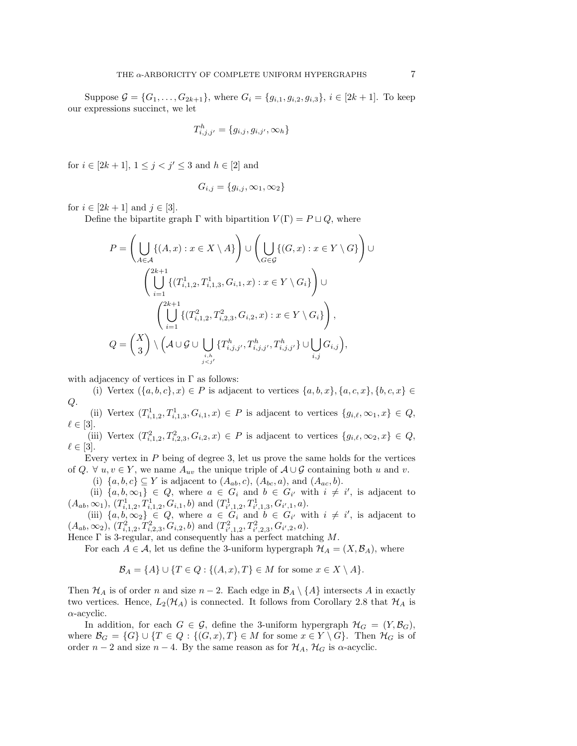Suppose  $\mathcal{G} = \{G_1, \ldots, G_{2k+1}\}\$ , where  $G_i = \{g_{i,1}, g_{i,2}, g_{i,3}\}\$ ,  $i \in [2k+1]$ . To keep our expressions succinct, we let

$$
T_{i,j,j'}^h = \{g_{i,j}, g_{i,j'}, \infty_h\}
$$

for  $i \in [2k+1], 1 \le j < j' \le 3$  and  $h \in [2]$  and

$$
G_{i,j} = \{g_{i,j}, \infty_1, \infty_2\}
$$

for  $i \in [2k + 1]$  and  $j \in [3]$ .

Define the bipartite graph  $\Gamma$  with bipartition  $V(\Gamma) = P \sqcup Q$ , where

$$
P = \left(\bigcup_{A \in \mathcal{A}} \{(A, x) : x \in X \setminus A\}\right) \cup \left(\bigcup_{G \in \mathcal{G}} \{(G, x) : x \in Y \setminus G\}\right) \cup \left(\bigcup_{i=1}^{2k+1} \{(T_{i,1,2}^1, T_{i,1,3}^1, G_{i,1}, x) : x \in Y \setminus G_i\}\right) \cup \left(\bigcup_{i=1}^{2k+1} \{(T_{i,1,2}^2, T_{i,2,3}^2, G_{i,2}, x) : x \in Y \setminus G_i\}\right),
$$
  

$$
Q = \left(\begin{matrix} X \\ 3 \end{matrix}\right) \setminus \left(\mathcal{A} \cup \mathcal{G} \cup \bigcup_{\substack{i,h \\ j < j'}} \{T_{i,j,j'}^h, T_{i,j,j'}^h, T_{i,j,j'}^h\} \cup \bigcup_{i,j} G_{i,j}\right),
$$

with adjacency of vertices in  $\Gamma$  as follows:

(i) Vertex  $(\{a, b, c\}, x) \in P$  is adjacent to vertices  $\{a, b, x\}, \{a, c, x\}, \{b, c, x\} \in$  $Q$ .

(ii) Vertex  $(T_{i,1,2}^1, T_{i,1,3}^1, G_{i,1}, x) \in P$  is adjacent to vertices  $\{g_{i,\ell}, \infty_1, x\} \in Q$ ,  $\ell \in [3]$ .

(iii) Vertex  $(T_{i,1,2}^2, T_{i,2,3}^2, G_{i,2}, x) \in P$  is adjacent to vertices  $\{g_{i,\ell}, \infty_2, x\} \in Q$ ,  $\ell \in [3]$ .

Every vertex in  $P$  being of degree 3, let us prove the same holds for the vertices of Q.  $\forall u, v \in Y$ , we name  $A_{uv}$  the unique triple of  $A \cup G$  containing both u and v.

(i)  $\{a, b, c\} \subseteq Y$  is adjacent to  $(A_{ab}, c)$ ,  $(A_{bc}, a)$ , and  $(A_{ac}, b)$ .

(ii)  $\{a, b, \infty_1\} \in Q$ , where  $a \in G_i$  and  $b \in G_{i'}$  with  $i \neq i'$ , is adjacent to  $(A_{ab}, \infty_1), (T^1_{i,1,2}, T^1_{i,1,2}, G_{i,1}, b) \text{ and } (T^1_{i',1,2}, T^1_{i',1,3}, G_{i',1}, a).$ 

(iii)  $\{a, b, \infty_2\} \in Q$ , where  $a \in G_i$  and  $b \in G_{i'}$  with  $i \neq i'$ , is adjacent to  $(A_{ab}, \infty_2), (T^2_{i,1,2}, T^2_{i,2,3}, G_{i,2}, b)$  and  $(T^2_{i',1,2}, T^2_{i',2,3}, G_{i',2}, a)$ .

Hence  $\Gamma$  is 3-regular, and consequently has a perfect matching M.

For each  $A \in \mathcal{A}$ , let us define the 3-uniform hypergraph  $\mathcal{H}_A = (X, \mathcal{B}_A)$ , where

$$
\mathcal{B}_A = \{A\} \cup \{T \in Q : \{(A, x), T\} \in M \text{ for some } x \in X \setminus A\}.
$$

Then  $\mathcal{H}_A$  is of order n and size  $n-2$ . Each edge in  $\mathcal{B}_A \setminus \{A\}$  intersects A in exactly two vertices. Hence,  $L_2(\mathcal{H}_A)$  is connected. It follows from Corollary 2.8 that  $\mathcal{H}_A$  is  $\alpha$ -acyclic.

In addition, for each  $G \in \mathcal{G}$ , define the 3-uniform hypergraph  $\mathcal{H}_G = (Y, \mathcal{B}_G)$ , where  $\mathcal{B}_G = \{G\} \cup \{T \in Q : \{(G, x), T\} \in M \text{ for some } x \in Y \setminus G\}.$  Then  $\mathcal{H}_G$  is of order  $n-2$  and size  $n-4$ . By the same reason as for  $\mathcal{H}_A$ ,  $\mathcal{H}_G$  is  $\alpha$ -acyclic.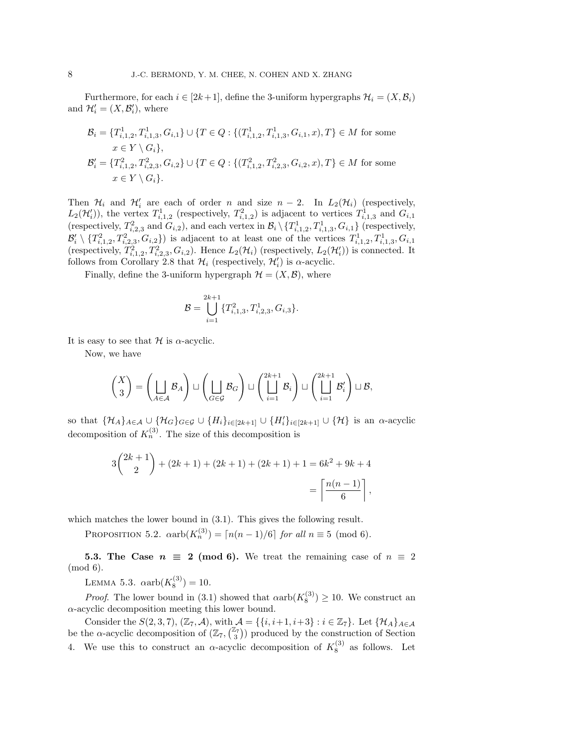Furthermore, for each  $i \in [2k+1]$ , define the 3-uniform hypergraphs  $\mathcal{H}_i = (X, \mathcal{B}_i)$ and  $\mathcal{H}'_i = (X, \mathcal{B}'_i)$ , where

$$
\mathcal{B}_{i} = \{T_{i,1,2}^{1}, T_{i,1,3}^{1}, G_{i,1}\} \cup \{T \in Q : \{(T_{i,1,2}^{1}, T_{i,1,3}^{1}, G_{i,1}, x), T\} \in M \text{ for some}
$$
  
\n
$$
x \in Y \setminus G_{i}\},
$$
  
\n
$$
\mathcal{B}'_{i} = \{T_{i,1,2}^{2}, T_{i,2,3}^{2}, G_{i,2}\} \cup \{T \in Q : \{(T_{i,1,2}^{2}, T_{i,2,3}^{2}, G_{i,2}, x), T\} \in M \text{ for some}
$$
  
\n
$$
x \in Y \setminus G_{i}\}.
$$

Then  $\mathcal{H}_i$  and  $\mathcal{H}'_i$  are each of order n and size  $n-2$ . In  $L_2(\mathcal{H}_i)$  (respectively,  $L_2(\mathcal{H}'_i)$ ), the vertex  $T_{i,1,2}^1$  (respectively,  $T_{i,1,2}^2$ ) is adjacent to vertices  $T_{i,1,3}^1$  and  $G_{i,1}$ (respectively,  $T_{i,2,3}^2$  and  $G_{i,2}$ ), and each vertex in  $\mathcal{B}_i \setminus \{T_{i,1,2}^1, T_{i,1,3}^1, G_{i,1}\}$  (respectively,  $\mathcal{B}'_i \setminus \{T_{i,1,2}^2, T_{i,2,3}^2, G_{i,2}\}\$  is adjacent to at least one of the vertices  $T_{i,1,2}^1, T_{i,1,3}^1, G_{i,1}\$ (respectively,  $T_{i,1,2}^2, T_{i,2,3}^2, G_{i,2}$ ). Hence  $L_2(\mathcal{H}_i)$  (respectively,  $L_2(\mathcal{H}'_i)$ ) is connected. It follows from Corollary 2.8 that  $\mathcal{H}_i$  (respectively,  $\mathcal{H}'_i$ ) is  $\alpha$ -acyclic.

Finally, define the 3-uniform hypergraph  $\mathcal{H} = (X, \mathcal{B})$ , where

$$
\mathcal{B} = \bigcup_{i=1}^{2k+1} \{T_{i,1,3}^2, T_{i,2,3}^1, G_{i,3}\}.
$$

It is easy to see that  $\mathcal H$  is  $\alpha$ -acyclic.

Now, we have

$$
\begin{pmatrix} X \\ 3 \end{pmatrix} = \left( \bigsqcup_{A \in \mathcal{A}} \mathcal{B}_A \right) \sqcup \left( \bigsqcup_{G \in \mathcal{G}} \mathcal{B}_G \right) \sqcup \left( \bigsqcup_{i=1}^{2k+1} \mathcal{B}_i \right) \sqcup \left( \bigsqcup_{i=1}^{2k+1} \mathcal{B}'_i \right) \sqcup \mathcal{B},
$$

so that  $\{\mathcal{H}_A\}_{A\in\mathcal{A}}\cup\{\mathcal{H}_G\}_{G\in\mathcal{G}}\cup\{H_i\}_{i\in[2k+1]}\cup\{H_i'\}_{i\in[2k+1]}\cup\{\mathcal{H}\}\$ is an  $\alpha$ -acyclic decomposition of  $K_n^{(3)}$ . The size of this decomposition is

$$
3\binom{2k+1}{2} + (2k+1) + (2k+1) + (2k+1) + 1 = 6k^2 + 9k + 4
$$

$$
= \left\lceil \frac{n(n-1)}{6} \right\rceil,
$$

which matches the lower bound in  $(3.1)$ . This gives the following result.

PROPOSITION 5.2.  $\alpha \text{arb}(K_n^{(3)}) = \lceil n(n-1)/6 \rceil$  for all  $n \equiv 5 \pmod{6}$ .

5.3. The Case  $n \equiv 2 \pmod{6}$ . We treat the remaining case of  $n \equiv 2$ (mod 6).

LEMMA 5.3.  $\alpha \text{arb}(K_8^{(3)}) = 10$ .

*Proof.* The lower bound in (3.1) showed that  $\alpha$ arb $(K_8^{(3)}) \ge 10$ . We construct an  $\alpha$  -acyclic decomposition meeting this lower bound.

Consider the  $S(2,3,7)$ ,  $(\mathbb{Z}_7,\mathcal{A})$ , with  $\mathcal{A} = \{\{i,i+1,i+3\} : i \in \mathbb{Z}_7\}$ . Let  $\{\mathcal{H}_A\}_{A \in \mathcal{A}}$ be the  $\alpha$ -acyclic decomposition of  $(\mathbb{Z}_7, {\mathbb{Z}_7 \choose 3})$  produced by the construction of Section 4. We use this to construct an  $\alpha$ -acyclic decomposition of  $K_8^{(3)}$  as follows. Let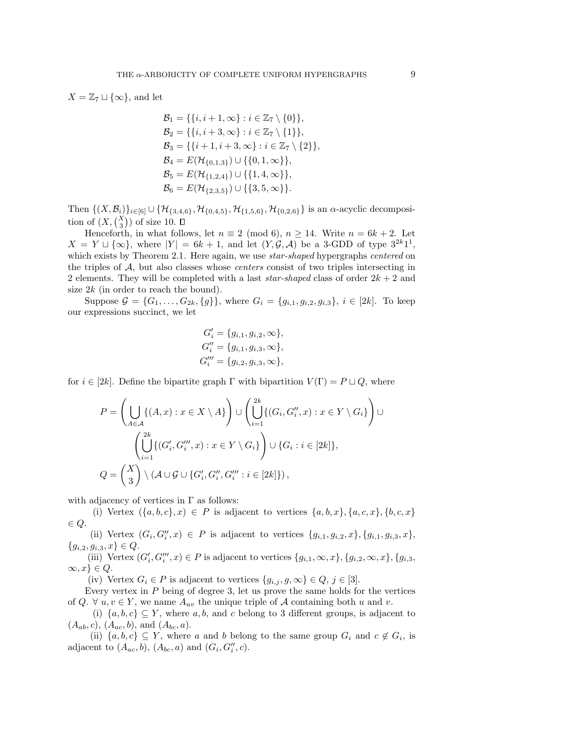$X = \mathbb{Z}_7 \sqcup \{\infty\}$ , and let

$$
\mathcal{B}_1 = \{ \{i, i+1, \infty\} : i \in \mathbb{Z}_7 \setminus \{0\} \},
$$
  
\n
$$
\mathcal{B}_2 = \{ \{i, i+3, \infty\} : i \in \mathbb{Z}_7 \setminus \{1\} \},
$$
  
\n
$$
\mathcal{B}_3 = \{ \{i+1, i+3, \infty\} : i \in \mathbb{Z}_7 \setminus \{2\} \},
$$
  
\n
$$
\mathcal{B}_4 = E(\mathcal{H}_{\{0,1,3\}}) \cup \{ \{0,1, \infty\} \},
$$
  
\n
$$
\mathcal{B}_5 = E(\mathcal{H}_{\{1,2,4\}}) \cup \{ \{1,4, \infty\} \},
$$
  
\n
$$
\mathcal{B}_6 = E(\mathcal{H}_{\{2,3,5\}}) \cup \{ \{3,5, \infty\} \}.
$$

Then  $\{(X,\mathcal{B}_i)\}_{i\in[6]}\cup\{\mathcal{H}_{\{3,4,6\}},\mathcal{H}_{\{0,4,5\}},\mathcal{H}_{\{1,5,6\}},\mathcal{H}_{\{0,2,6\}}\}$  is an  $\alpha$ -acyclic decomposition of  $(X, {X \choose 3})$  of size 10.

Henceforth, in what follows, let  $n \equiv 2 \pmod{6}$ ,  $n \ge 14$ . Write  $n = 6k + 2$ . Let  $X = Y \sqcup {\infty}$ , where  $|Y| = 6k + 1$ , and let  $(Y, \mathcal{G}, \mathcal{A})$  be a 3-GDD of type  $3^{2k}1^1$ , which exists by Theorem 2.1. Here again, we use *star-shaped* hypergraphs *centered* on the triples of  $A$ , but also classes whose *centers* consist of two triples intersecting in 2 elements. They will be completed with a last star-shaped class of order  $2k + 2$  and size  $2k$  (in order to reach the bound).

Suppose  $\mathcal{G} = \{G_1, \ldots, G_{2k}, \{g\}\}\,$ , where  $G_i = \{g_{i,1}, g_{i,2}, g_{i,3}\}, i \in [2k]\,$ . To keep our expressions succinct, we let

$$
G'_{i} = \{g_{i,1}, g_{i,2}, \infty\},
$$
  
\n
$$
G''_{i} = \{g_{i,1}, g_{i,3}, \infty\},
$$
  
\n
$$
G'''_{i} = \{g_{i,2}, g_{i,3}, \infty\},
$$

for  $i \in [2k]$ . Define the bipartite graph  $\Gamma$  with bipartition  $V(\Gamma) = P \sqcup Q$ , where

$$
P = \left(\bigcup_{A \in \mathcal{A}} \{(A, x) : x \in X \setminus A\}\right) \cup \left(\bigcup_{i=1}^{2k} \{(G_i, G_i'', x) : x \in Y \setminus G_i\}\right) \cup \left(\bigcup_{i=1}^{2k} \{(G_i', G_i''', x) : x \in Y \setminus G_i\}\right) \cup \{G_i : i \in [2k]\},\
$$
  

$$
Q = \left(\frac{X}{3}\right) \setminus (\mathcal{A} \cup \mathcal{G} \cup \{G_i', G_i''', G_i''' : i \in [2k]\}),
$$

with adjacency of vertices in  $\Gamma$  as follows:

(i) Vertex  $({a, b, c}, x) \in P$  is adjacent to vertices  ${a, b, x}$ ,  ${a, c, x}$ ,  ${b, c, x}$  $\in Q$ .

(ii) Vertex  $(G_i, G''_i, x) \in P$  is adjacent to vertices  $\{g_{i,1}, g_{i,2}, x\}, \{g_{i,1}, g_{i,3}, x\},\$  ${g_{i,2}, g_{i,3}, x} \in Q$ 

(iii) Vertex  $(G_i', G_i''', x) \in P$  is adjacent to vertices  $\{g_{i,1}, \infty, x\}, \{g_{i,2}, \infty, x\}, \{g_{i,3}, \dots\}$  $\infty, x\} \in Q.$ 

(iv) Vertex  $G_i \in P$  is adjacent to vertices  $\{g_{i,j}, g, \infty\} \in Q, j \in [3]$ .

Every vertex in  $P$  being of degree 3, let us prove the same holds for the vertices of Q.  $\forall u, v \in Y$ , we name  $A_{uv}$  the unique triple of A containing both u and v.

(i)  $\{a, b, c\} \subseteq Y$ , where a, b, and c belong to 3 different groups, is adjacent to  $(A_{ab}, c), (A_{ac}, b), \text{ and } (A_{bc}, a).$ 

(ii)  $\{a, b, c\} \subseteq Y$ , where a and b belong to the same group  $G_i$  and  $c \notin G_i$ , is adjacent to  $(A_{ac},b)$ ,  $(A_{bc},a)$  and  $(G_i, G''_i, c)$ .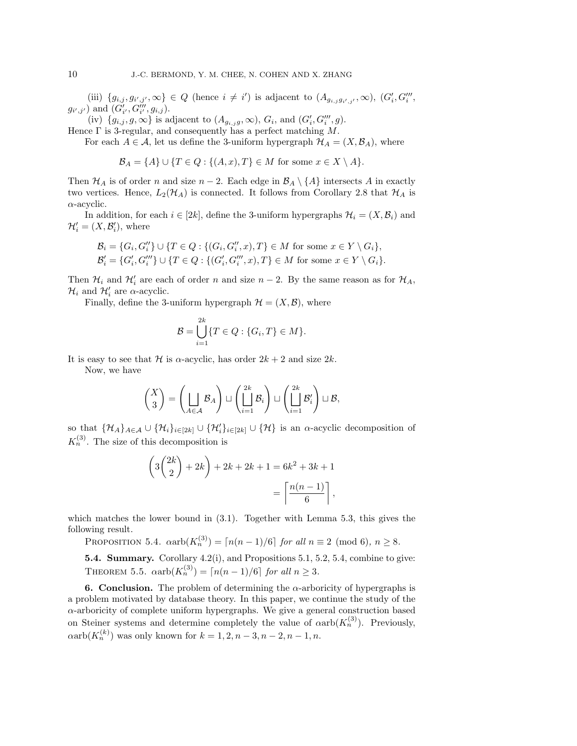(iii)  $\{g_{i,j}, g_{i',j'}, \infty\} \in Q$  (hence  $i \neq i'$ ) is adjacent to  $(A_{g_{i,j}g_{i',j'}}, \infty)$ ,  $(G_i', G_i''',$  $(g_{i',j'})$  and  $(\tilde{G}'_{i'}, \tilde{G}'''_{i'}, g_{i,j}).$ 

(iv)  $\{g_{i,j}, g, \infty\}$  is adjacent to  $(A_{g_{i,j}g}, \infty)$ ,  $G_i$ , and  $(G'_i, G'''_i, g)$ .

Hence  $\Gamma$  is 3-regular, and consequently has a perfect matching M.

For each  $A \in \mathcal{A}$ , let us define the 3-uniform hypergraph  $\mathcal{H}_A = (X, \mathcal{B}_A)$ , where

$$
\mathcal{B}_A = \{A\} \cup \{T \in Q : \{(A, x), T\} \in M \text{ for some } x \in X \setminus A\}.
$$

Then  $\mathcal{H}_A$  is of order n and size  $n-2$ . Each edge in  $\mathcal{B}_A \setminus \{A\}$  intersects A in exactly two vertices. Hence,  $L_2(\mathcal{H}_A)$  is connected. It follows from Corollary 2.8 that  $\mathcal{H}_A$  is  $\alpha$ -acyclic.

In addition, for each  $i \in [2k]$ , define the 3-uniform hypergraphs  $\mathcal{H}_i = (X, \mathcal{B}_i)$  and  $\mathcal{H}'_i = (X, \mathcal{B}'_i)$ , where

$$
\mathcal{B}_i = \{G_i, G_i''\} \cup \{T \in Q : \{(G_i, G_i'', x), T\} \in M \text{ for some } x \in Y \setminus G_i\},\
$$
  

$$
\mathcal{B}'_i = \{G'_i, G''_i\} \cup \{T \in Q : \{(G'_i, G'''_i, x), T\} \in M \text{ for some } x \in Y \setminus G_i\}.
$$

Then  $\mathcal{H}_i$  and  $\mathcal{H}'_i$  are each of order n and size  $n-2$ . By the same reason as for  $\mathcal{H}_A$ ,  $\mathcal{H}_i$  and  $\mathcal{H}'_i$  are  $\alpha$ -acyclic.

Finally, define the 3-uniform hypergraph  $\mathcal{H} = (X, \mathcal{B})$ , where

$$
\mathcal{B} = \bigcup_{i=1}^{2k} \{T \in Q : \{G_i, T\} \in M\}.
$$

It is easy to see that H is  $\alpha$ -acyclic, has order  $2k + 2$  and size  $2k$ .

Now, we have

$$
\begin{pmatrix} X \\ 3 \end{pmatrix} = \left( \bigsqcup_{A \in \mathcal{A}} \mathcal{B}_A \right) \sqcup \left( \bigsqcup_{i=1}^{2k} \mathcal{B}_i \right) \sqcup \left( \bigsqcup_{i=1}^{2k} \mathcal{B}'_i \right) \sqcup \mathcal{B},
$$

so that  $\{\mathcal{H}_A\}_{A\in\mathcal{A}}\cup\{\mathcal{H}_i\}_{i\in[2k]}\cup\{\mathcal{H}_i\}_{i\in[2k]}\cup\{\mathcal{H}\}\$ is an  $\alpha$ -acyclic decomposition of  $K_n^{(3)}$ . The size of this decomposition is

$$
\left(3\binom{2k}{2} + 2k\right) + 2k + 2k + 1 = 6k^2 + 3k + 1
$$

$$
= \left\lceil \frac{n(n-1)}{6} \right\rceil,
$$

which matches the lower bound in (3.1). Together with Lemma 5.3, this gives the following result.

PROPOSITION 5.4.  $\alpha \text{arb}(K_n^{(3)}) = \lceil n(n-1)/6 \rceil$  for all  $n \equiv 2 \pmod{6}$ ,  $n \geq 8$ .

5.4. Summary. Corollary 4.2(i), and Propositions 5.1, 5.2, 5.4, combine to give: THEOREM 5.5.  $\alpha \text{arb}(K_n^{(3)}) = \lceil n(n-1)/6 \rceil$  for all  $n \geq 3$ .

6. Conclusion. The problem of determining the  $\alpha$ -arboricity of hypergraphs is a problem motivated by database theory. In this paper, we continue the study of the α-arboricity of complete uniform hypergraphs. We give a general construction based on Steiner systems and determine completely the value of  $\alpha$ arb $(K_n^{(3)})$ . Previously,  $\alpha \text{arb}(K_n^{(k)})$  was only known for  $k = 1, 2, n - 3, n - 2, n - 1, n$ .